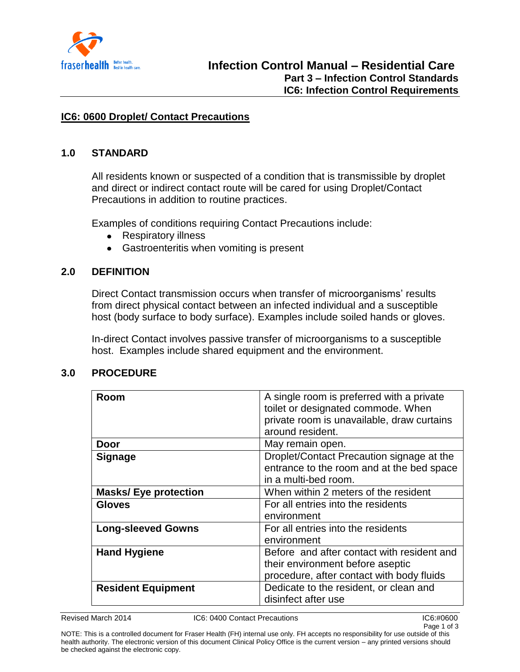

#### **IC6: 0600 Droplet/ Contact Precautions**

#### **1.0 STANDARD**

All residents known or suspected of a condition that is transmissible by droplet and direct or indirect contact route will be cared for using Droplet/Contact Precautions in addition to routine practices.

Examples of conditions requiring Contact Precautions include:

- $\bullet$ Respiratory illness
- Gastroenteritis when vomiting is present  $\bullet$

#### **2.0 DEFINITION**

Direct Contact transmission occurs when transfer of microorganisms' results from direct physical contact between an infected individual and a susceptible host (body surface to body surface). Examples include soiled hands or gloves.

In-direct Contact involves passive transfer of microorganisms to a susceptible host. Examples include shared equipment and the environment.

#### **3.0 PROCEDURE**

| Room                        | A single room is preferred with a private<br>toilet or designated commode. When<br>private room is unavailable, draw curtains<br>around resident. |
|-----------------------------|---------------------------------------------------------------------------------------------------------------------------------------------------|
| Door                        | May remain open.                                                                                                                                  |
| <b>Signage</b>              | Droplet/Contact Precaution signage at the<br>entrance to the room and at the bed space<br>in a multi-bed room.                                    |
| <b>Masks/Eye protection</b> | When within 2 meters of the resident                                                                                                              |
| <b>Gloves</b>               | For all entries into the residents<br>environment                                                                                                 |
| <b>Long-sleeved Gowns</b>   | For all entries into the residents<br>environment                                                                                                 |
| <b>Hand Hygiene</b>         | Before and after contact with resident and<br>their environment before aseptic<br>procedure, after contact with body fluids                       |
| <b>Resident Equipment</b>   | Dedicate to the resident, or clean and<br>disinfect after use                                                                                     |

Revised March 2014 IC6: 0400 Contact Precautions IC6:#0600

NOTE: This is a controlled document for Fraser Health (FH) internal use only. FH accepts no responsibility for use outside of this health authority. The electronic version of this document Clinical Policy Office is the current version – any printed versions should be checked against the electronic copy.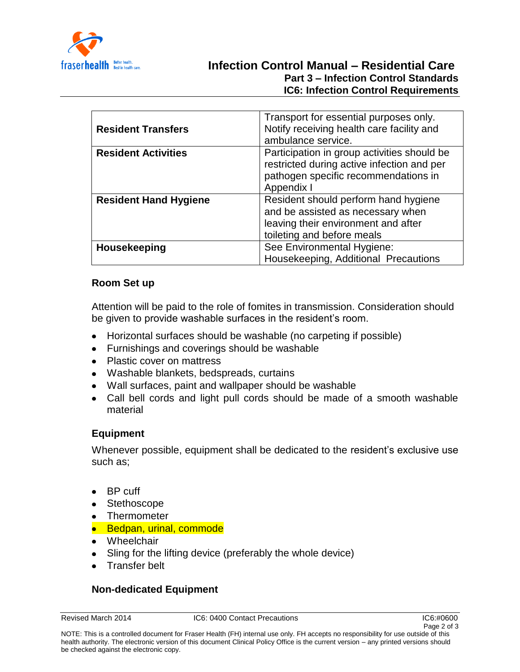

# **Infection Control Manual – Residential Care Part 3 – Infection Control Standards IC6: Infection Control Requirements**

| <b>Resident Transfers</b>    | Transport for essential purposes only.<br>Notify receiving health care facility and<br>ambulance service.                                       |
|------------------------------|-------------------------------------------------------------------------------------------------------------------------------------------------|
| <b>Resident Activities</b>   | Participation in group activities should be<br>restricted during active infection and per<br>pathogen specific recommendations in<br>Appendix I |
| <b>Resident Hand Hygiene</b> | Resident should perform hand hygiene<br>and be assisted as necessary when<br>leaving their environment and after<br>toileting and before meals  |
| <b>Housekeeping</b>          | See Environmental Hygiene:<br>Housekeeping, Additional Precautions                                                                              |

### **Room Set up**

Attention will be paid to the role of fomites in transmission. Consideration should be given to provide washable surfaces in the resident's room.

- Horizontal surfaces should be washable (no carpeting if possible)
- Furnishings and coverings should be washable
- Plastic cover on mattress
- Washable blankets, bedspreads, curtains
- Wall surfaces, paint and wallpaper should be washable
- Call bell cords and light pull cords should be made of a smooth washable material

### **Equipment**

Whenever possible, equipment shall be dedicated to the resident's exclusive use such as;

- BP cuff
- Stethoscope
- Thermometer
- Bedpan, urinal, commode
- Wheelchair
- Sling for the lifting device (preferably the whole device)
- Transfer belt

## **Non-dedicated Equipment**

Revised March 2014 IC6: 0400 Contact Precautions IC6:#0600

Page 2 of 3

NOTE: This is a controlled document for Fraser Health (FH) internal use only. FH accepts no responsibility for use outside of this health authority. The electronic version of this document Clinical Policy Office is the current version – any printed versions should be checked against the electronic copy.